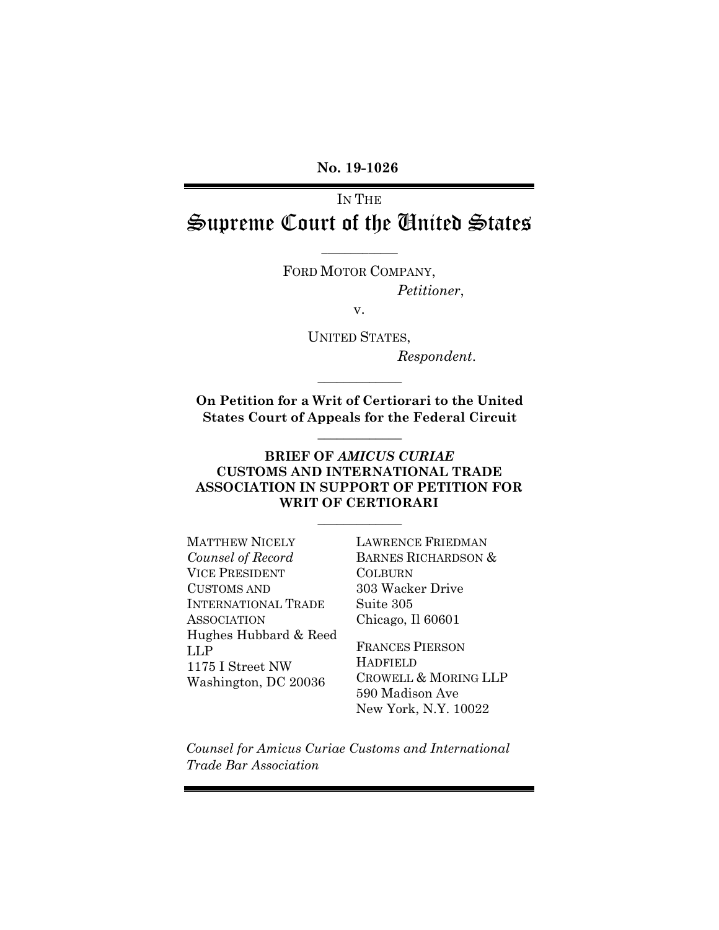**No. 19-1026**

IN THE Supreme Court of the United States

 $\overline{\phantom{a}}$  , where  $\overline{\phantom{a}}$ 

FORD MOTOR COMPANY, *Petitioner*,

v.

UNITED STATES, *Respondent*.

**On Petition for a Writ of Certiorari to the United States Court of Appeals for the Federal Circuit**

 $\mathcal{L}$  and  $\mathcal{L}$  and  $\mathcal{L}$ 

 $\mathcal{L}$  and  $\mathcal{L}$  and  $\mathcal{L}$ 

### **BRIEF OF** *AMICUS CURIAE* **CUSTOMS AND INTERNATIONAL TRADE ASSOCIATION IN SUPPORT OF PETITION FOR WRIT OF CERTIORARI**

 $\mathcal{L}$  and  $\mathcal{L}$  and  $\mathcal{L}$ 

MATTHEW NICELY *Counsel of Record* VICE PRESIDENT CUSTOMS AND INTERNATIONAL TRADE ASSOCIATION Hughes Hubbard & Reed LLP 1175 I Street NW Washington, DC 20036

LAWRENCE FRIEDMAN BARNES RICHARDSON & COLBURN 303 Wacker Drive Suite 305 Chicago, Il 60601

FRANCES PIERSON **HADFIELD** CROWELL & MORING LLP 590 Madison Ave New York, N.Y. 10022

*Counsel for Amicus Curiae Customs and International Trade Bar Association*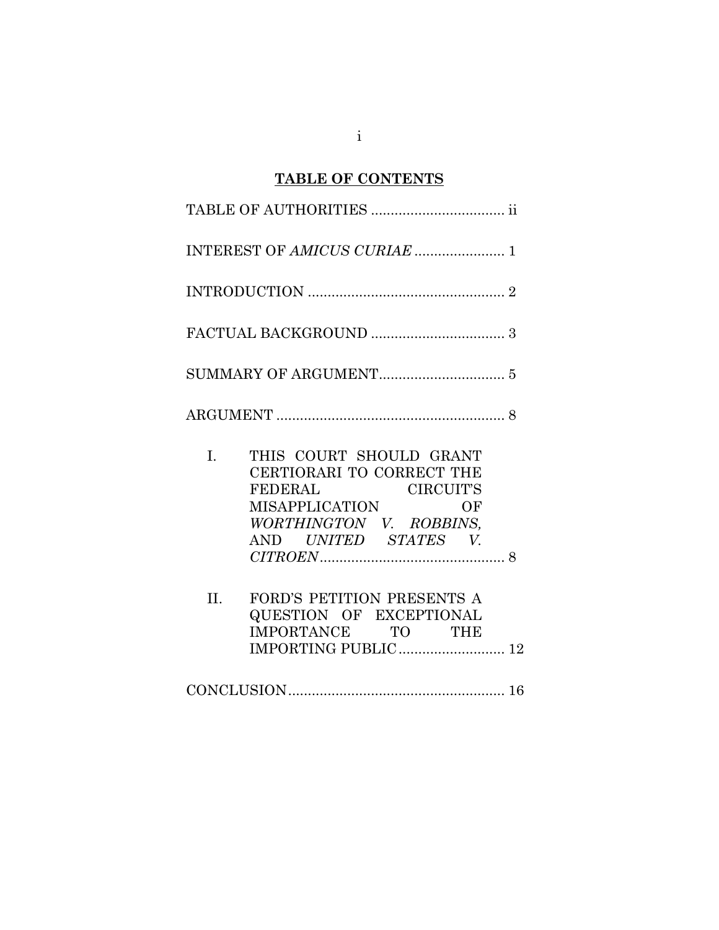# **TABLE OF CONTENTS**

|     | INTEREST OF AMICUS CURIAE  1                                                                                                                                          |  |
|-----|-----------------------------------------------------------------------------------------------------------------------------------------------------------------------|--|
|     |                                                                                                                                                                       |  |
|     | $\texttt{FACTUAL}\ \texttt{BACKGROUND}\ \dots\dots\dots\dots\dots\dots\dots\dots\dots\dots$ 3                                                                         |  |
|     |                                                                                                                                                                       |  |
|     |                                                                                                                                                                       |  |
| I.  | THIS COURT SHOULD GRANT<br>CERTIORARI TO CORRECT THE<br><b>CIRCUIT'S</b><br><b>FEDERAL</b><br>MISAPPLICATION<br>OF<br>WORTHINGTON V. ROBBINS,<br>AND UNITED STATES V. |  |
| II. | FORD'S PETITION PRESENTS A<br>QUESTION OF EXCEPTIONAL<br>IMPORTANCE TO THE                                                                                            |  |
|     |                                                                                                                                                                       |  |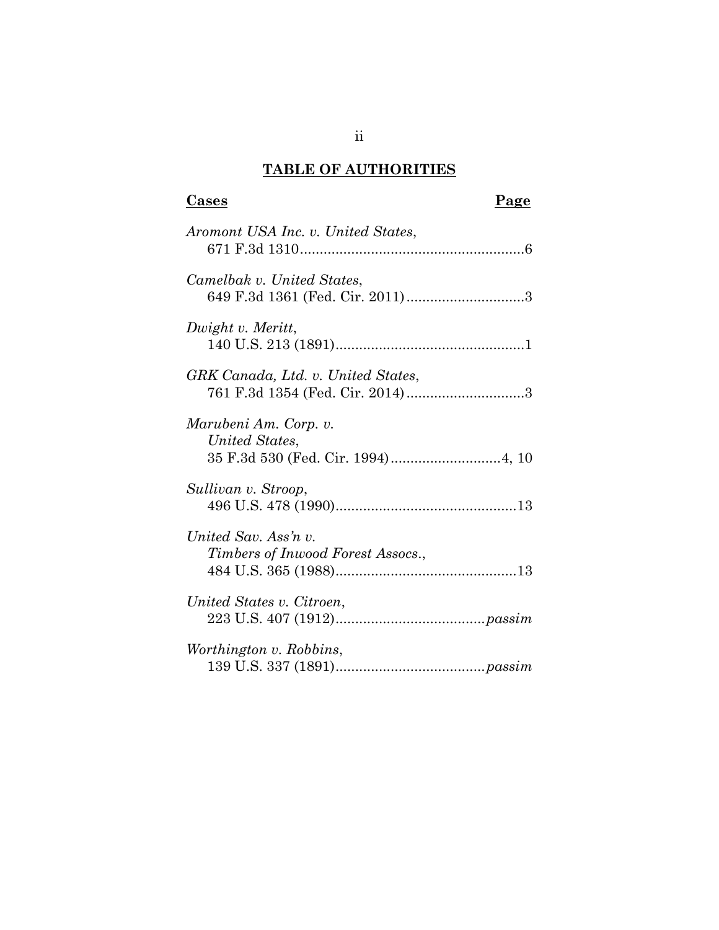# **TABLE OF AUTHORITIES**

# **Cases Page**

| Aromont USA Inc. v. United States,                        |
|-----------------------------------------------------------|
| Camelbak v. United States,                                |
| Dwight v. Meritt,                                         |
| GRK Canada, Ltd. v. United States,                        |
| Marubeni Am. Corp. v.<br>United States,                   |
| Sullivan v. Stroop,                                       |
| United Sav. Ass'n v.<br>Timbers of Inwood Forest Assocs., |
| United States v. Citroen,                                 |
| Worthington v. Robbins,                                   |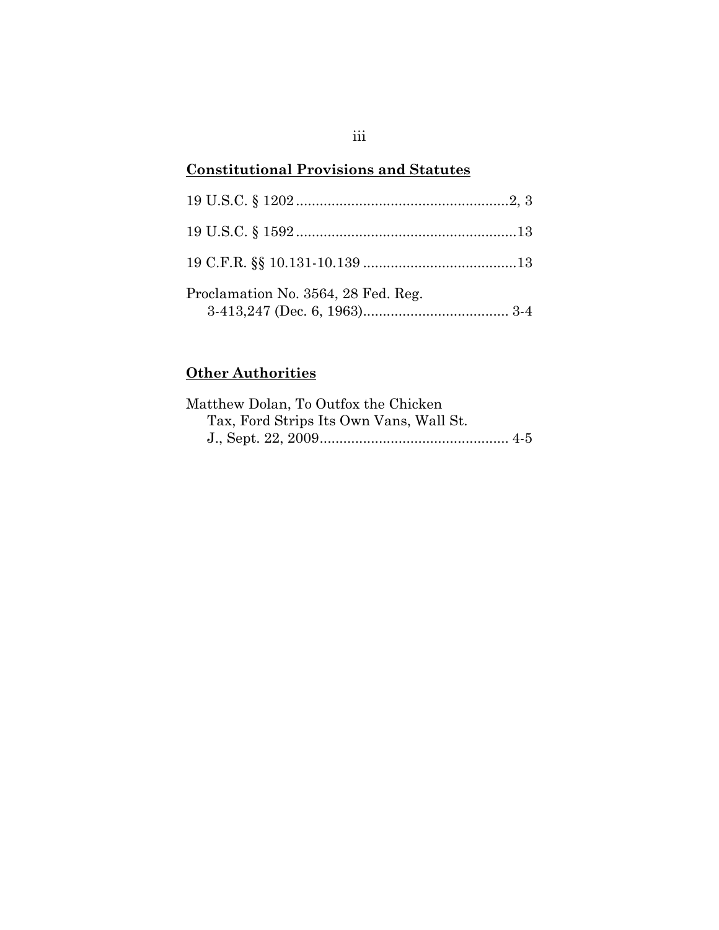# **Constitutional Provisions and Statutes**

| Proclamation No. 3564, 28 Fed. Reg. |  |
|-------------------------------------|--|

# **Other Authorities**

| Matthew Dolan, To Outfox the Chicken    |  |
|-----------------------------------------|--|
| Tax, Ford Strips Its Own Vans, Wall St. |  |
|                                         |  |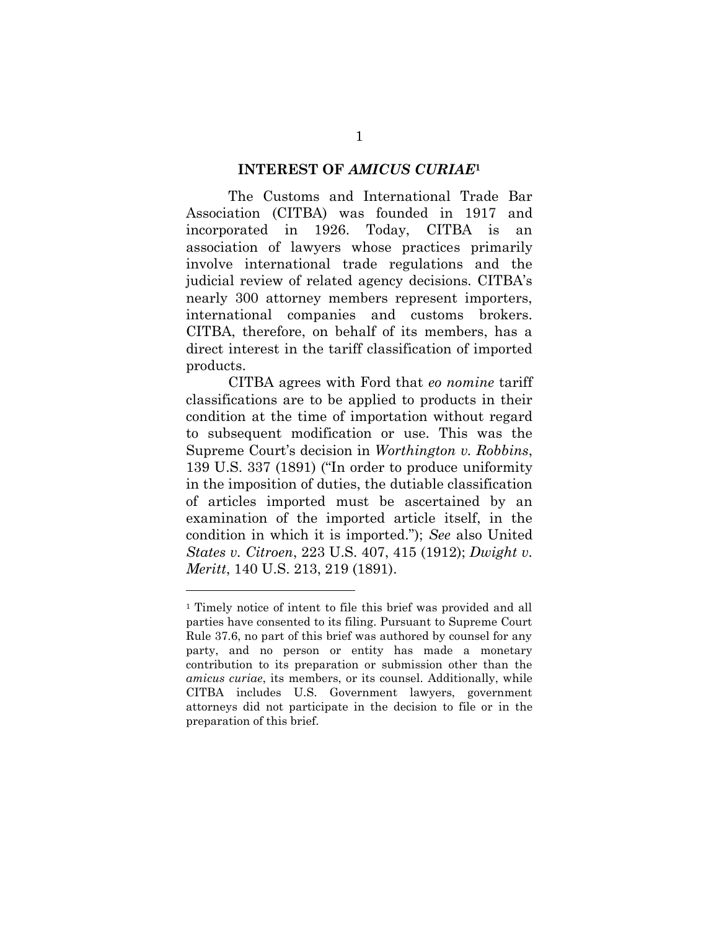#### **INTEREST OF** *AMICUS CURIAE***<sup>1</sup>**

The Customs and International Trade Bar Association (CITBA) was founded in 1917 and incorporated in 1926. Today, CITBA is an association of lawyers whose practices primarily involve international trade regulations and the judicial review of related agency decisions. CITBA's nearly 300 attorney members represent importers, international companies and customs brokers. CITBA, therefore, on behalf of its members, has a direct interest in the tariff classification of imported products.

CITBA agrees with Ford that *eo nomine* tariff classifications are to be applied to products in their condition at the time of importation without regard to subsequent modification or use. This was the Supreme Court's decision in *Worthington v. Robbins*, 139 U.S. 337 (1891) ("In order to produce uniformity in the imposition of duties, the dutiable classification of articles imported must be ascertained by an examination of the imported article itself, in the condition in which it is imported."); *See* also United *States v. Citroen*, 223 U.S. 407, 415 (1912); *Dwight v. Meritt*, 140 U.S. 213, 219 (1891).

<sup>1</sup> Timely notice of intent to file this brief was provided and all parties have consented to its filing. Pursuant to Supreme Court Rule 37.6, no part of this brief was authored by counsel for any party, and no person or entity has made a monetary contribution to its preparation or submission other than the *amicus curiae*, its members, or its counsel. Additionally, while CITBA includes U.S. Government lawyers, government attorneys did not participate in the decision to file or in the preparation of this brief.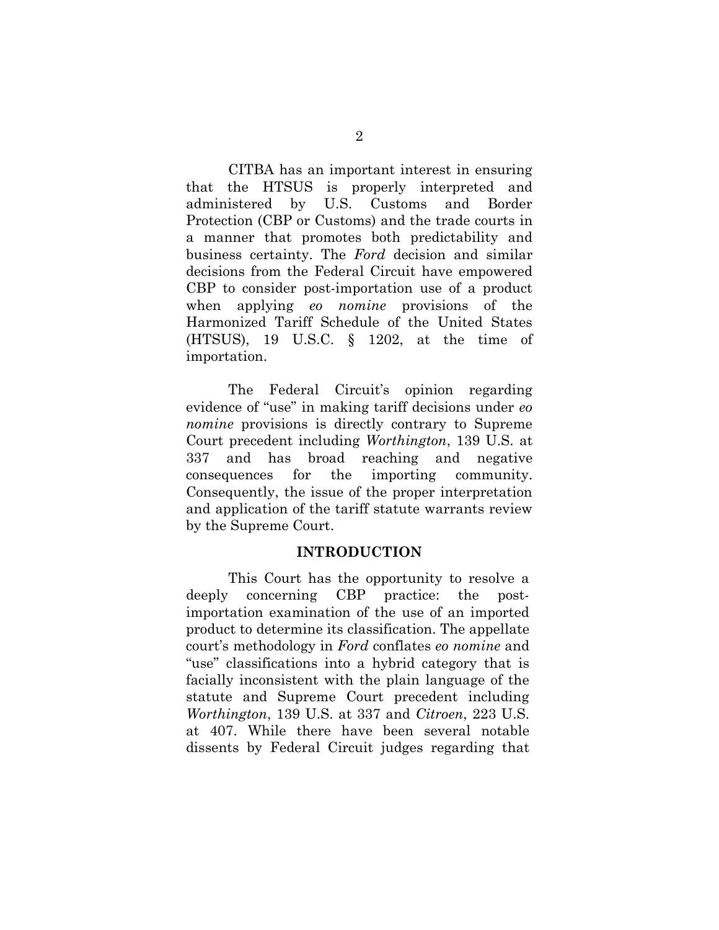CITBA has an important interest in ensuring that the HTSUS is properly interpreted and administered by U.S. Customs and Border Protection (CBP or Customs) and the trade courts in a manner that promotes both predictability and business certainty. The *Ford* decision and similar decisions from the Federal Circuit have empowered CBP to consider post-importation use of a product when applying *eo nomine* provisions of the Harmonized Tariff Schedule of the United States (HTSUS), 19 U.S.C. § 1202, at the time of importation.

The Federal Circuit's opinion regarding evidence of "use" in making tariff decisions under *eo nomine* provisions is directly contrary to Supreme Court precedent including *Worthington*, 139 U.S. at 337 and has broad reaching and negative consequences for the importing community. Consequently, the issue of the proper interpretation and application of the tariff statute warrants review by the Supreme Court.

#### **INTRODUCTION**

This Court has the opportunity to resolve a deeply concerning CBP practice: the postimportation examination of the use of an imported product to determine its classification. The appellate court's methodology in *Ford* conflates *eo nomine* and "use" classifications into a hybrid category that is facially inconsistent with the plain language of the statute and Supreme Court precedent including *Worthington*, 139 U.S. at 337 and *Citroen*, 223 U.S. at 407. While there have been several notable dissents by Federal Circuit judges regarding that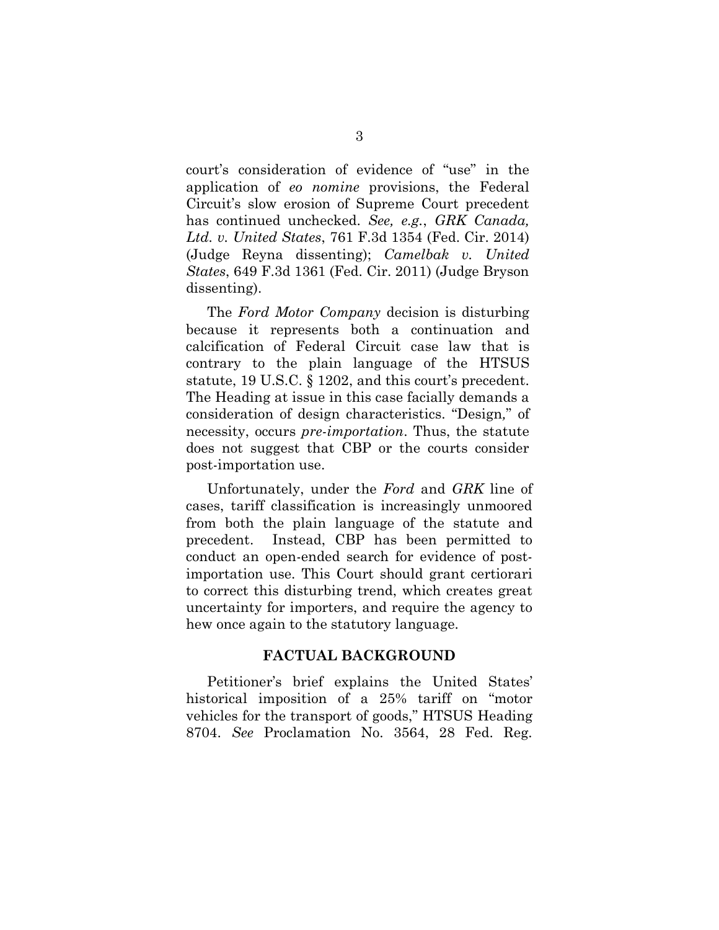court's consideration of evidence of "use" in the application of *eo nomine* provisions, the Federal Circuit's slow erosion of Supreme Court precedent has continued unchecked. *See, e.g.*, *GRK Canada, Ltd. v. United States*, 761 F.3d 1354 (Fed. Cir. 2014) (Judge Reyna dissenting); *Camelbak v. United States*, 649 F.3d 1361 (Fed. Cir. 2011) (Judge Bryson dissenting).

The *Ford Motor Company* decision is disturbing because it represents both a continuation and calcification of Federal Circuit case law that is contrary to the plain language of the HTSUS statute, 19 U.S.C. § 1202, and this court's precedent. The Heading at issue in this case facially demands a consideration of design characteristics. "Design*,*" of necessity, occurs *pre-importation*. Thus, the statute does not suggest that CBP or the courts consider post-importation use.

Unfortunately, under the *Ford* and *GRK* line of cases, tariff classification is increasingly unmoored from both the plain language of the statute and precedent. Instead, CBP has been permitted to conduct an open-ended search for evidence of postimportation use. This Court should grant certiorari to correct this disturbing trend, which creates great uncertainty for importers, and require the agency to hew once again to the statutory language.

## **FACTUAL BACKGROUND**

Petitioner's brief explains the United States' historical imposition of a 25% tariff on "motor vehicles for the transport of goods," HTSUS Heading 8704. *See* Proclamation No. 3564, 28 Fed. Reg.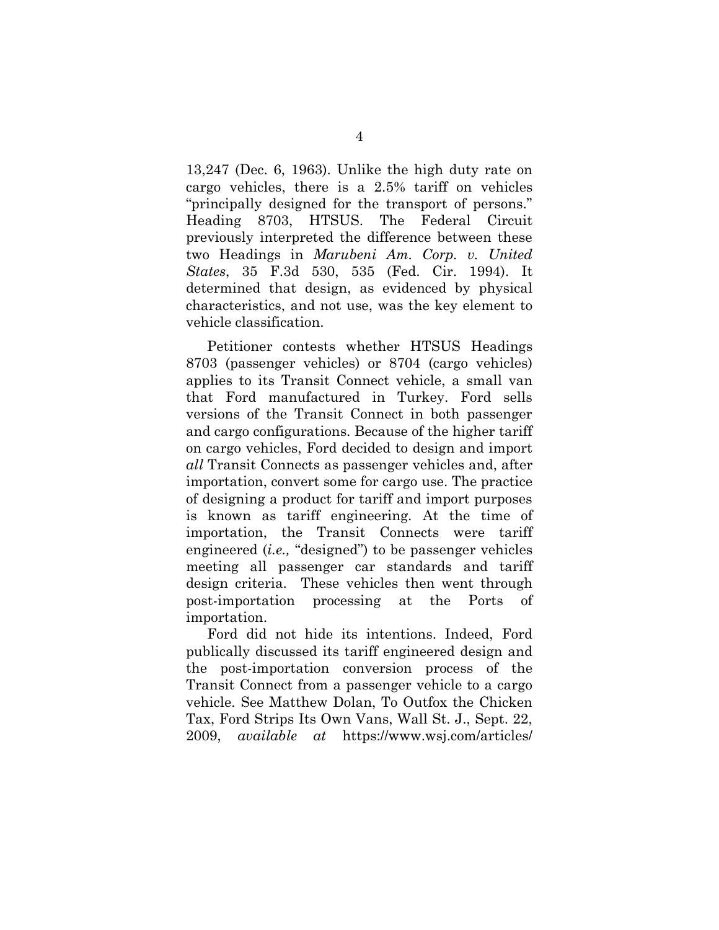13,247 (Dec. 6, 1963). Unlike the high duty rate on cargo vehicles, there is a 2.5% tariff on vehicles "principally designed for the transport of persons." Heading 8703, HTSUS. The Federal Circuit previously interpreted the difference between these two Headings in *Marubeni Am. Corp. v. United States*, 35 F.3d 530, 535 (Fed. Cir. 1994). It determined that design, as evidenced by physical characteristics, and not use, was the key element to vehicle classification.

Petitioner contests whether HTSUS Headings 8703 (passenger vehicles) or 8704 (cargo vehicles) applies to its Transit Connect vehicle, a small van that Ford manufactured in Turkey. Ford sells versions of the Transit Connect in both passenger and cargo configurations. Because of the higher tariff on cargo vehicles, Ford decided to design and import *all* Transit Connects as passenger vehicles and, after importation, convert some for cargo use. The practice of designing a product for tariff and import purposes is known as tariff engineering. At the time of importation, the Transit Connects were tariff engineered (*i.e.,* "designed") to be passenger vehicles meeting all passenger car standards and tariff design criteria. These vehicles then went through post-importation processing at the Ports of importation.

Ford did not hide its intentions. Indeed, Ford publically discussed its tariff engineered design and the post-importation conversion process of the Transit Connect from a passenger vehicle to a cargo vehicle. See Matthew Dolan, To Outfox the Chicken Tax, Ford Strips Its Own Vans, Wall St. J., Sept. 22, 2009, *available at* https://www.wsj.com/articles/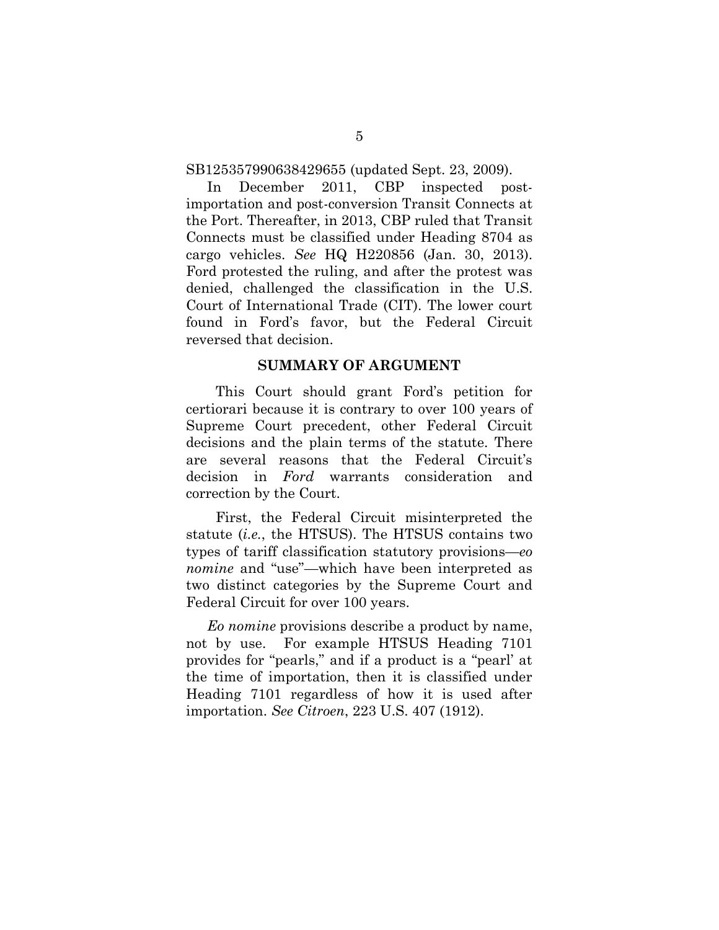SB125357990638429655 (updated Sept. 23, 2009).

In December 2011, CBP inspected postimportation and post-conversion Transit Connects at the Port. Thereafter, in 2013, CBP ruled that Transit Connects must be classified under Heading 8704 as cargo vehicles. *See* HQ H220856 (Jan. 30, 2013). Ford protested the ruling, and after the protest was denied, challenged the classification in the U.S. Court of International Trade (CIT). The lower court found in Ford's favor, but the Federal Circuit reversed that decision.

#### **SUMMARY OF ARGUMENT**

This Court should grant Ford's petition for certiorari because it is contrary to over 100 years of Supreme Court precedent, other Federal Circuit decisions and the plain terms of the statute. There are several reasons that the Federal Circuit's decision in *Ford* warrants consideration and correction by the Court.

First, the Federal Circuit misinterpreted the statute (*i.e.*, the HTSUS). The HTSUS contains two types of tariff classification statutory provisions—*eo nomine* and "use"—which have been interpreted as two distinct categories by the Supreme Court and Federal Circuit for over 100 years.

*Eo nomine* provisions describe a product by name, not by use. For example HTSUS Heading 7101 provides for "pearls," and if a product is a "pearl' at the time of importation, then it is classified under Heading 7101 regardless of how it is used after importation. *See Citroen*, 223 U.S. 407 (1912).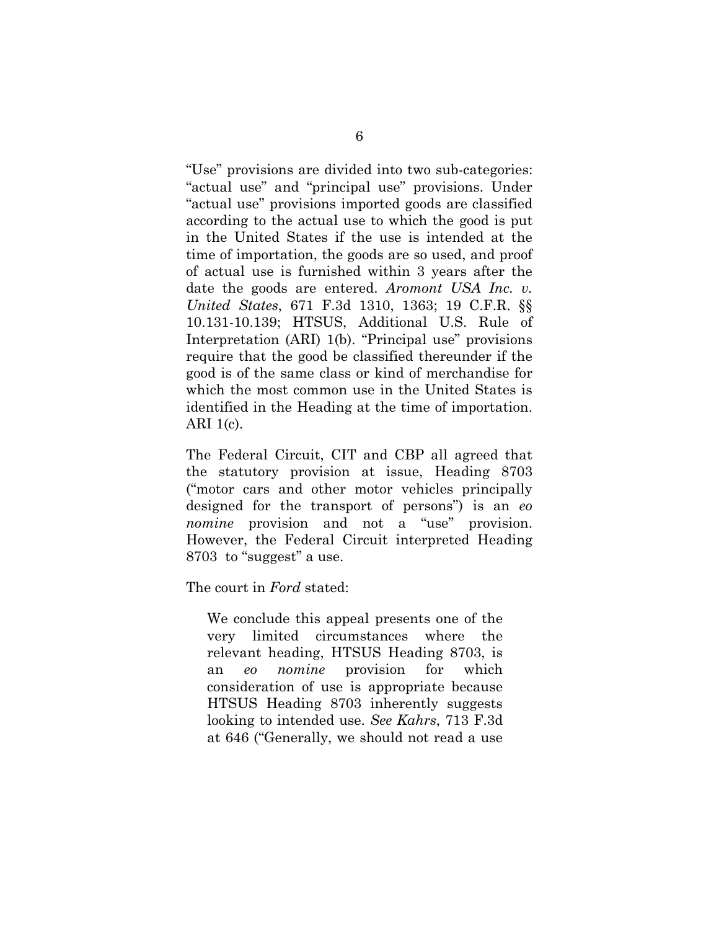"Use" provisions are divided into two sub-categories: "actual use" and "principal use" provisions. Under "actual use" provisions imported goods are classified according to the actual use to which the good is put in the United States if the use is intended at the time of importation, the goods are so used, and proof of actual use is furnished within 3 years after the date the goods are entered. *Aromont USA Inc. v. United States*, 671 F.3d 1310, 1363; 19 C.F.R. §§ 10.131-10.139; HTSUS, Additional U.S. Rule of Interpretation (ARI) 1(b). "Principal use" provisions require that the good be classified thereunder if the good is of the same class or kind of merchandise for which the most common use in the United States is identified in the Heading at the time of importation. ARI 1(c).

The Federal Circuit, CIT and CBP all agreed that the statutory provision at issue, Heading 8703 ("motor cars and other motor vehicles principally designed for the transport of persons") is an *eo nomine* provision and not a "use" provision. However, the Federal Circuit interpreted Heading 8703 to "suggest" a use.

The court in *Ford* stated:

We conclude this appeal presents one of the very limited circumstances where the relevant heading, HTSUS Heading 8703, is an *eo nomine* provision for which consideration of use is appropriate because HTSUS Heading 8703 inherently suggests looking to intended use. *See Kahrs*, 713 F.3d at 646 ("Generally, we should not read a use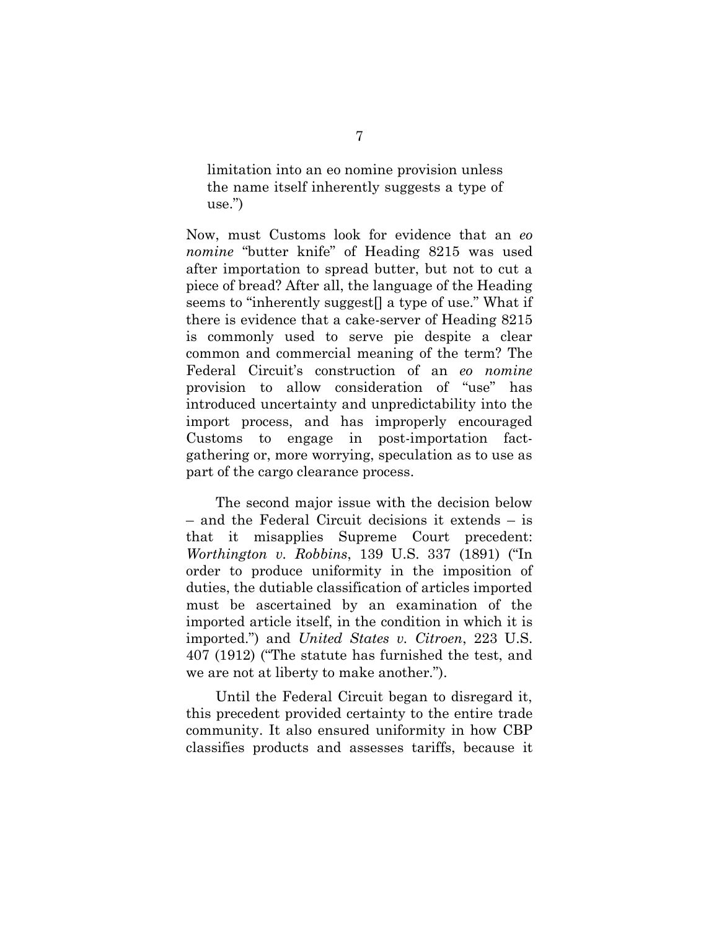limitation into an eo nomine provision unless the name itself inherently suggests a type of use.")

Now, must Customs look for evidence that an *eo nomine* "butter knife" of Heading 8215 was used after importation to spread butter, but not to cut a piece of bread? After all, the language of the Heading seems to "inherently suggest<sup>[]</sup> a type of use." What if there is evidence that a cake-server of Heading 8215 is commonly used to serve pie despite a clear common and commercial meaning of the term? The Federal Circuit's construction of an *eo nomine* provision to allow consideration of "use" has introduced uncertainty and unpredictability into the import process, and has improperly encouraged Customs to engage in post-importation factgathering or, more worrying, speculation as to use as part of the cargo clearance process.

The second major issue with the decision below – and the Federal Circuit decisions it extends – is that it misapplies Supreme Court precedent: *Worthington v. Robbins*, 139 U.S. 337 (1891) ("In order to produce uniformity in the imposition of duties, the dutiable classification of articles imported must be ascertained by an examination of the imported article itself, in the condition in which it is imported.") and *United States v. Citroen*, 223 U.S. 407 (1912) ("The statute has furnished the test, and we are not at liberty to make another.").

Until the Federal Circuit began to disregard it, this precedent provided certainty to the entire trade community. It also ensured uniformity in how CBP classifies products and assesses tariffs, because it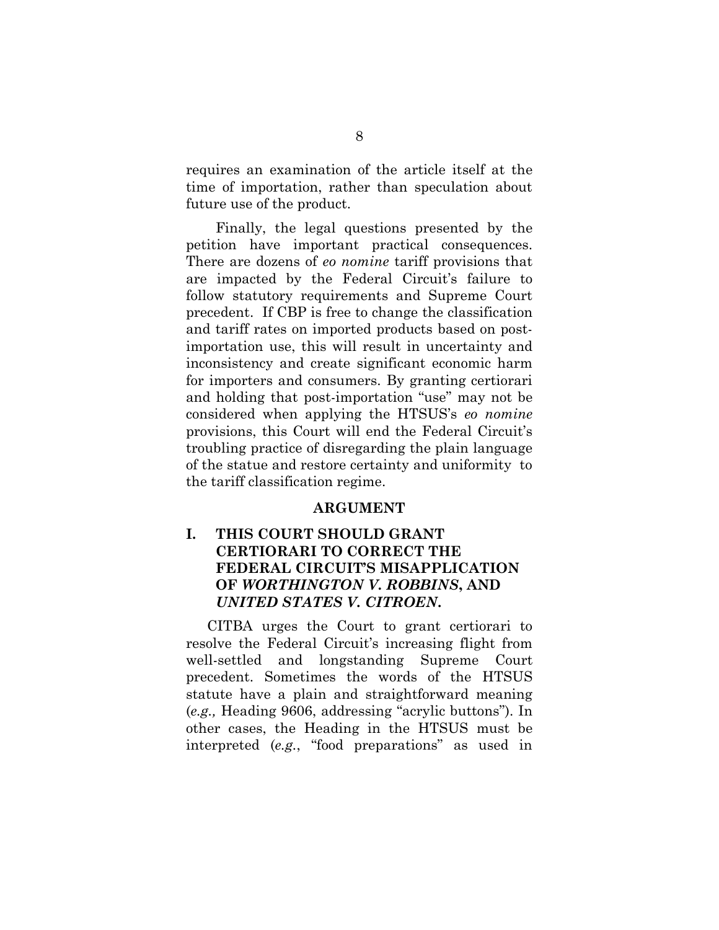requires an examination of the article itself at the time of importation, rather than speculation about future use of the product.

Finally, the legal questions presented by the petition have important practical consequences. There are dozens of *eo nomine* tariff provisions that are impacted by the Federal Circuit's failure to follow statutory requirements and Supreme Court precedent. If CBP is free to change the classification and tariff rates on imported products based on postimportation use, this will result in uncertainty and inconsistency and create significant economic harm for importers and consumers. By granting certiorari and holding that post-importation "use" may not be considered when applying the HTSUS's *eo nomine* provisions, this Court will end the Federal Circuit's troubling practice of disregarding the plain language of the statue and restore certainty and uniformity to the tariff classification regime.

#### **ARGUMENT**

## **I. THIS COURT SHOULD GRANT CERTIORARI TO CORRECT THE FEDERAL CIRCUIT'S MISAPPLICATION OF** *WORTHINGTON V. ROBBINS***, AND**  *UNITED STATES V. CITROEN***.**

CITBA urges the Court to grant certiorari to resolve the Federal Circuit's increasing flight from well-settled and longstanding Supreme Court precedent. Sometimes the words of the HTSUS statute have a plain and straightforward meaning (*e.g.,* Heading 9606, addressing "acrylic buttons"). In other cases, the Heading in the HTSUS must be interpreted (*e.g.*, "food preparations" as used in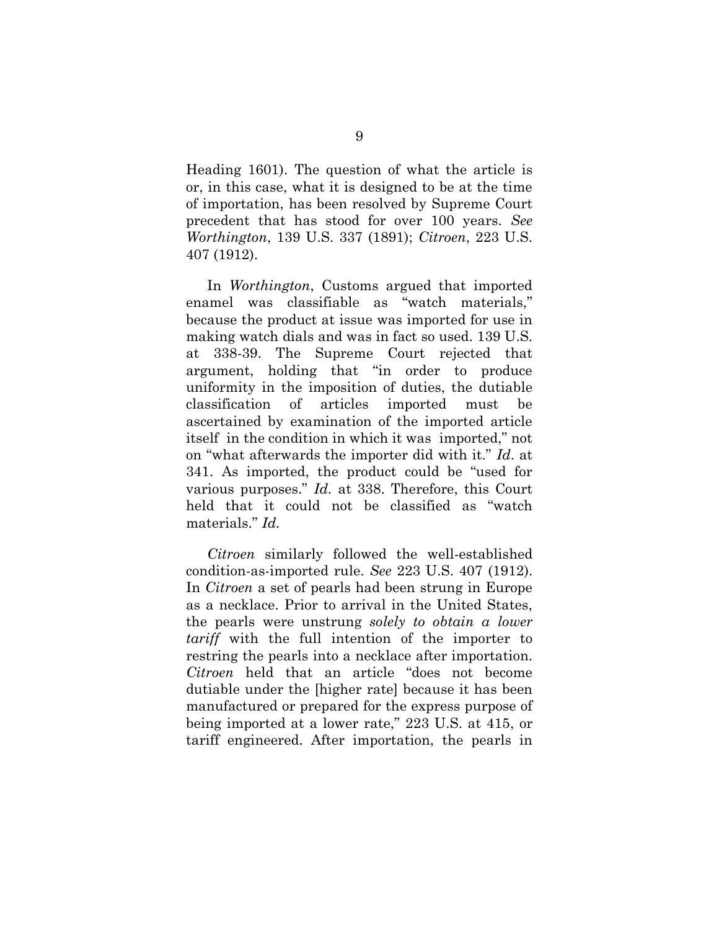Heading 1601). The question of what the article is or, in this case, what it is designed to be at the time of importation, has been resolved by Supreme Court precedent that has stood for over 100 years. *See Worthington*, 139 U.S. 337 (1891); *Citroen*, 223 U.S. 407 (1912).

In *Worthington*, Customs argued that imported enamel was classifiable as "watch materials," because the product at issue was imported for use in making watch dials and was in fact so used. 139 U.S. at 338-39. The Supreme Court rejected that argument, holding that "in order to produce uniformity in the imposition of duties, the dutiable classification of articles imported must be ascertained by examination of the imported article itself in the condition in which it was imported," not on "what afterwards the importer did with it." *Id*. at 341. As imported, the product could be "used for various purposes." *Id.* at 338. Therefore, this Court held that it could not be classified as "watch materials." *Id.*

*Citroen* similarly followed the well-established condition-as-imported rule. *See* 223 U.S. 407 (1912). In *Citroen* a set of pearls had been strung in Europe as a necklace. Prior to arrival in the United States, the pearls were unstrung *solely to obtain a lower tariff* with the full intention of the importer to restring the pearls into a necklace after importation. *Citroen* held that an article "does not become dutiable under the [higher rate] because it has been manufactured or prepared for the express purpose of being imported at a lower rate," 223 U.S. at 415, or tariff engineered. After importation, the pearls in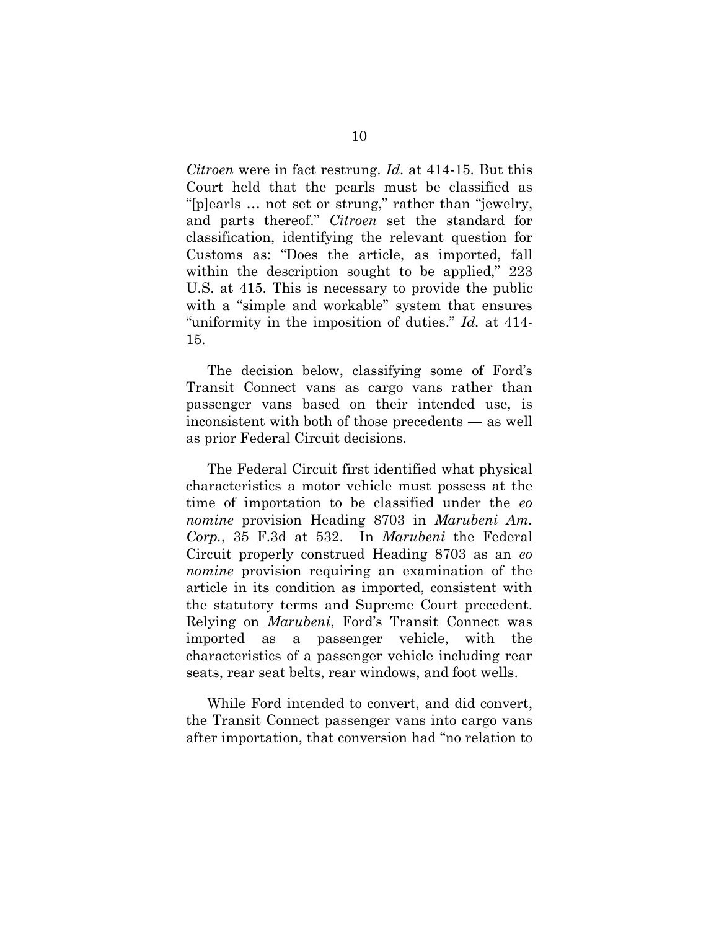*Citroen* were in fact restrung. *Id.* at 414-15. But this Court held that the pearls must be classified as "[p]earls … not set or strung," rather than "jewelry, and parts thereof." *Citroen* set the standard for classification, identifying the relevant question for Customs as: "Does the article, as imported, fall within the description sought to be applied," 223 U.S. at 415. This is necessary to provide the public with a "simple and workable" system that ensures "uniformity in the imposition of duties." *Id.* at 414- 15.

The decision below, classifying some of Ford's Transit Connect vans as cargo vans rather than passenger vans based on their intended use, is inconsistent with both of those precedents — as well as prior Federal Circuit decisions.

The Federal Circuit first identified what physical characteristics a motor vehicle must possess at the time of importation to be classified under the *eo nomine* provision Heading 8703 in *Marubeni Am. Corp.*, 35 F.3d at 532. In *Marubeni* the Federal Circuit properly construed Heading 8703 as an *eo nomine* provision requiring an examination of the article in its condition as imported, consistent with the statutory terms and Supreme Court precedent. Relying on *Marubeni*, Ford's Transit Connect was imported as a passenger vehicle, with the characteristics of a passenger vehicle including rear seats, rear seat belts, rear windows, and foot wells.

While Ford intended to convert, and did convert, the Transit Connect passenger vans into cargo vans after importation, that conversion had "no relation to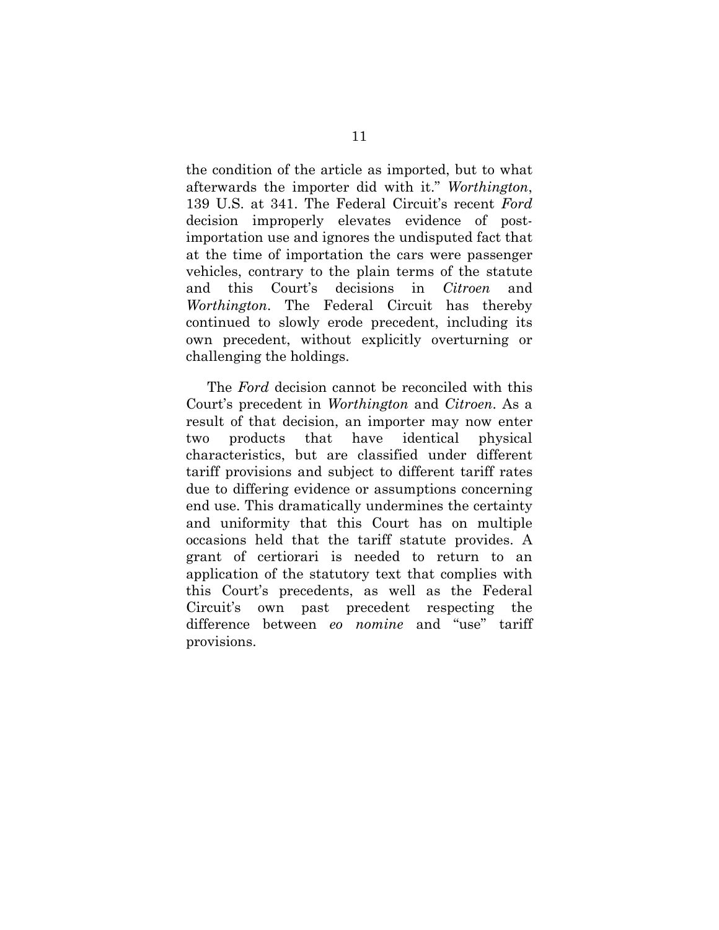the condition of the article as imported, but to what afterwards the importer did with it." *Worthington*, 139 U.S. at 341. The Federal Circuit's recent *Ford*  decision improperly elevates evidence of postimportation use and ignores the undisputed fact that at the time of importation the cars were passenger vehicles, contrary to the plain terms of the statute and this Court's decisions in *Citroen* and *Worthington*. The Federal Circuit has thereby continued to slowly erode precedent, including its own precedent, without explicitly overturning or challenging the holdings.

The *Ford* decision cannot be reconciled with this Court's precedent in *Worthington* and *Citroen*. As a result of that decision, an importer may now enter two products that have identical physical characteristics, but are classified under different tariff provisions and subject to different tariff rates due to differing evidence or assumptions concerning end use. This dramatically undermines the certainty and uniformity that this Court has on multiple occasions held that the tariff statute provides. A grant of certiorari is needed to return to an application of the statutory text that complies with this Court's precedents, as well as the Federal Circuit's own past precedent respecting the difference between *eo nomine* and "use" tariff provisions.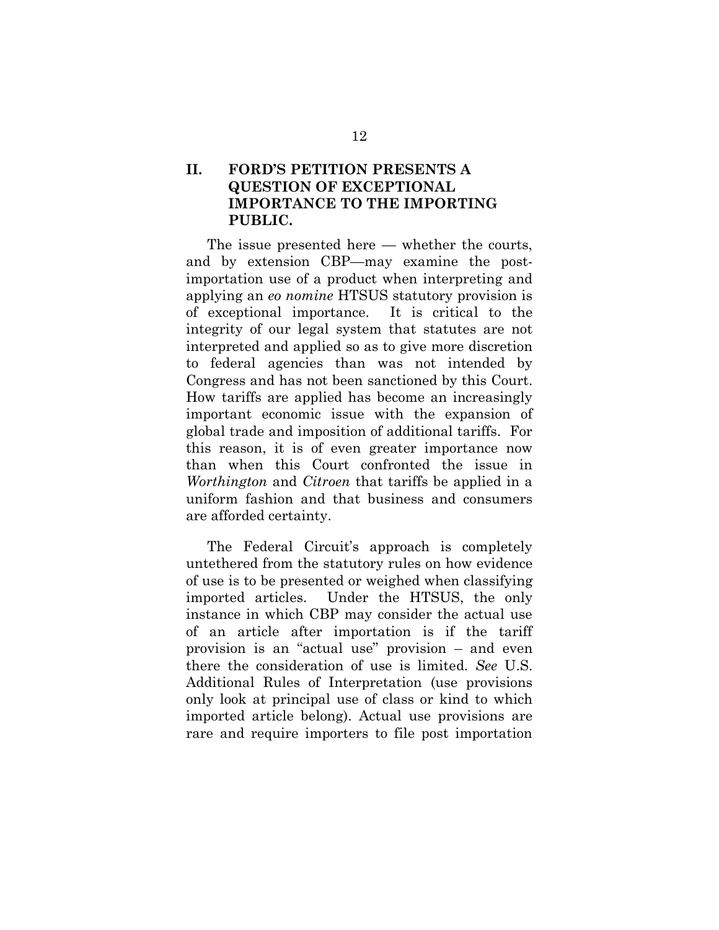## **II. FORD'S PETITION PRESENTS A QUESTION OF EXCEPTIONAL IMPORTANCE TO THE IMPORTING PUBLIC.**

The issue presented here — whether the courts, and by extension CBP—may examine the postimportation use of a product when interpreting and applying an *eo nomine* HTSUS statutory provision is of exceptional importance. It is critical to the integrity of our legal system that statutes are not interpreted and applied so as to give more discretion to federal agencies than was not intended by Congress and has not been sanctioned by this Court. How tariffs are applied has become an increasingly important economic issue with the expansion of global trade and imposition of additional tariffs. For this reason, it is of even greater importance now than when this Court confronted the issue in *Worthington* and *Citroen* that tariffs be applied in a uniform fashion and that business and consumers are afforded certainty.

The Federal Circuit's approach is completely untethered from the statutory rules on how evidence of use is to be presented or weighed when classifying imported articles. Under the HTSUS, the only instance in which CBP may consider the actual use of an article after importation is if the tariff provision is an "actual use" provision – and even there the consideration of use is limited. *See* U.S. Additional Rules of Interpretation (use provisions only look at principal use of class or kind to which imported article belong). Actual use provisions are rare and require importers to file post importation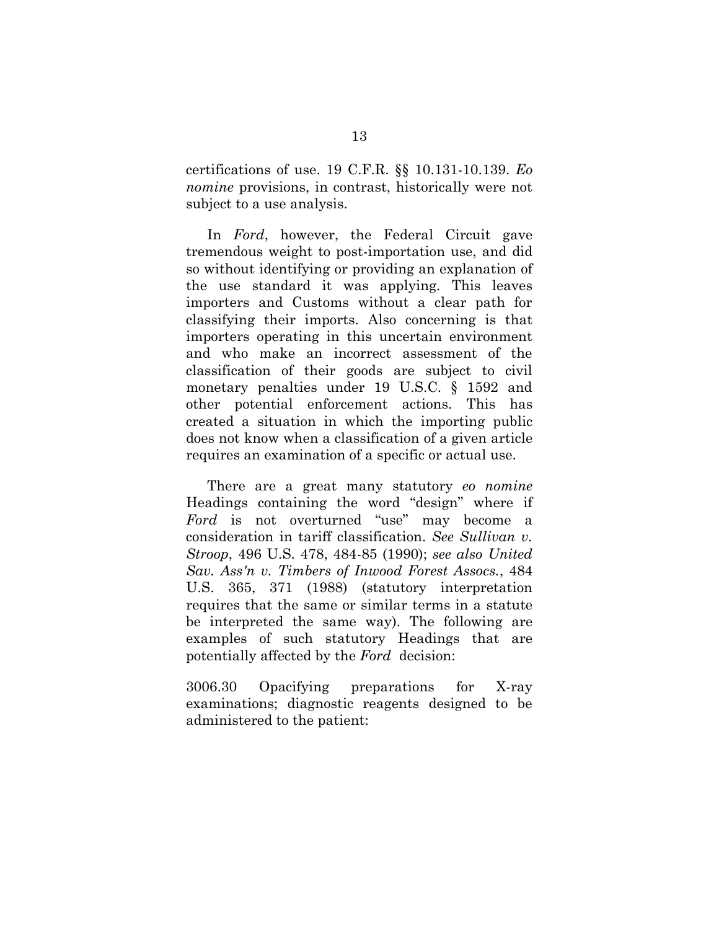certifications of use. 19 C.F.R. §§ 10.131-10.139. *Eo nomine* provisions, in contrast, historically were not subject to a use analysis.

In *Ford*, however, the Federal Circuit gave tremendous weight to post-importation use, and did so without identifying or providing an explanation of the use standard it was applying. This leaves importers and Customs without a clear path for classifying their imports. Also concerning is that importers operating in this uncertain environment and who make an incorrect assessment of the classification of their goods are subject to civil monetary penalties under 19 U.S.C. § 1592 and other potential enforcement actions. This has created a situation in which the importing public does not know when a classification of a given article requires an examination of a specific or actual use.

There are a great many statutory *eo nomine* Headings containing the word "design" where if *Ford* is not overturned "use" may become a consideration in tariff classification. *See Sullivan v. Stroop*, 496 U.S. 478, 484-85 (1990); *see also United Sav. Ass'n v. Timbers of Inwood Forest Assocs.*, 484 U.S. 365, 371 (1988) (statutory interpretation requires that the same or similar terms in a statute be interpreted the same way). The following are examples of such statutory Headings that are potentially affected by the *Ford* decision:

3006.30 Opacifying preparations for X-ray examinations; diagnostic reagents designed to be administered to the patient: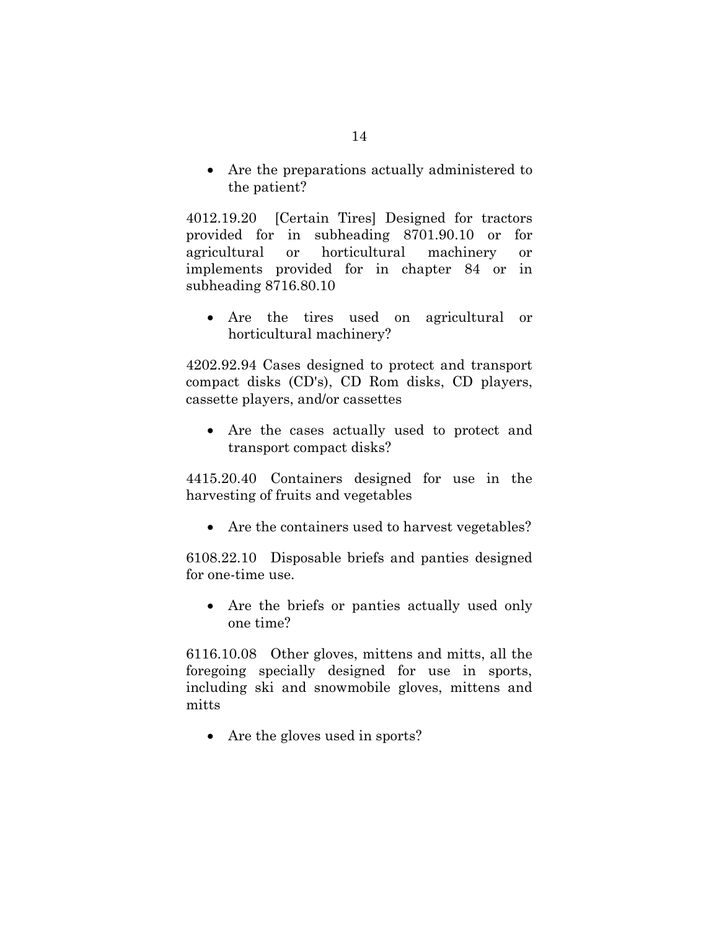• Are the preparations actually administered to the patient?

4012.19.20 [Certain Tires] Designed for tractors provided for in subheading 8701.90.10 or for agricultural or horticultural machinery or implements provided for in chapter 84 or in subheading 8716.80.10

• Are the tires used on agricultural or horticultural machinery?

4202.92.94 Cases designed to protect and transport compact disks (CD's), CD Rom disks, CD players, cassette players, and/or cassettes

• Are the cases actually used to protect and transport compact disks?

4415.20.40 Containers designed for use in the harvesting of fruits and vegetables

• Are the containers used to harvest vegetables?

6108.22.10 Disposable briefs and panties designed for one-time use.

• Are the briefs or panties actually used only one time?

6116.10.08 Other gloves, mittens and mitts, all the foregoing specially designed for use in sports, including ski and snowmobile gloves, mittens and mitts

• Are the gloves used in sports?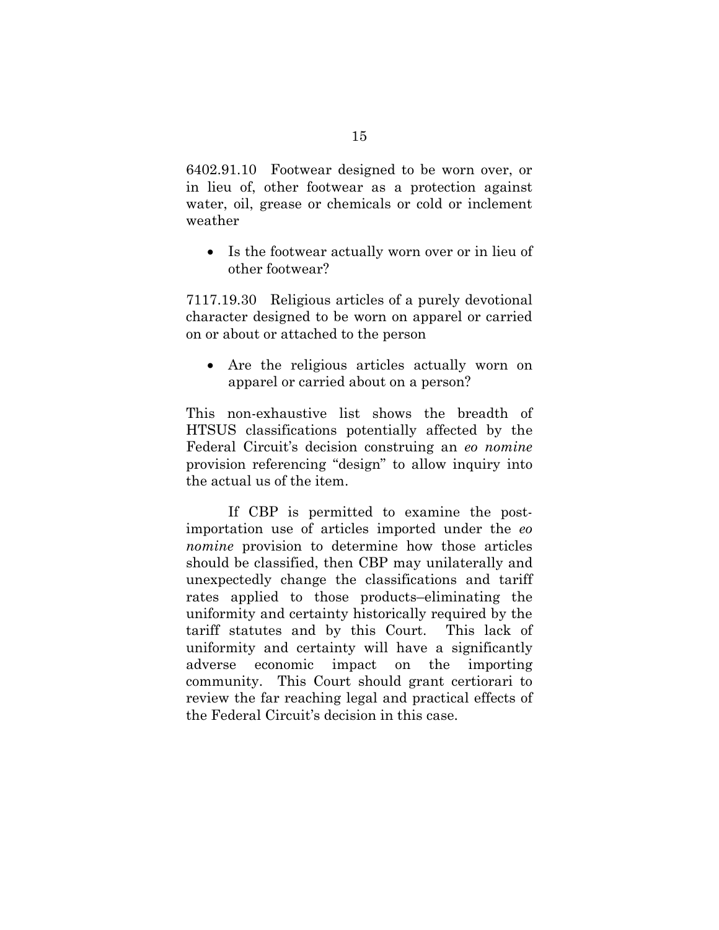6402.91.10 Footwear designed to be worn over, or in lieu of, other footwear as a protection against water, oil, grease or chemicals or cold or inclement weather

• Is the footwear actually worn over or in lieu of other footwear?

7117.19.30 Religious articles of a purely devotional character designed to be worn on apparel or carried on or about or attached to the person

• Are the religious articles actually worn on apparel or carried about on a person?

This non-exhaustive list shows the breadth of HTSUS classifications potentially affected by the Federal Circuit's decision construing an *eo nomine* provision referencing "design" to allow inquiry into the actual us of the item.

If CBP is permitted to examine the postimportation use of articles imported under the *eo nomine* provision to determine how those articles should be classified, then CBP may unilaterally and unexpectedly change the classifications and tariff rates applied to those products–eliminating the uniformity and certainty historically required by the tariff statutes and by this Court. This lack of uniformity and certainty will have a significantly adverse economic impact on the importing community. This Court should grant certiorari to review the far reaching legal and practical effects of the Federal Circuit's decision in this case.